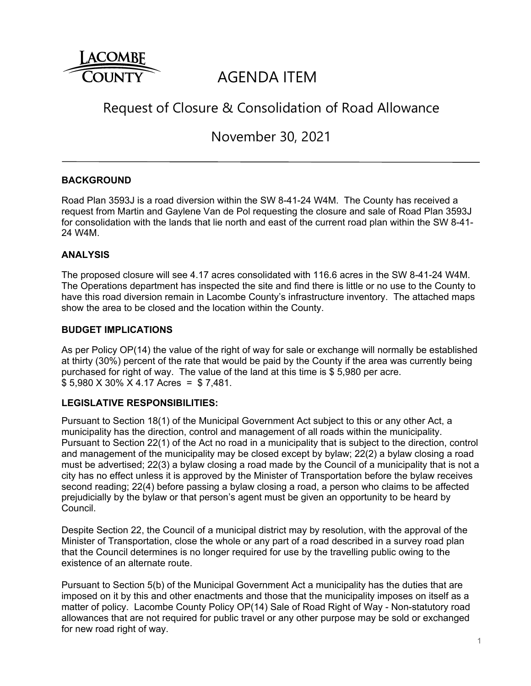

# AGENDA ITEM

# Request of Closure & Consolidation of Road Allowance

November 30, 2021

# **BACKGROUND**

Road Plan 3593J is a road diversion within the SW 8-41-24 W4M. The County has received a request from Martin and Gaylene Van de Pol requesting the closure and sale of Road Plan 3593J for consolidation with the lands that lie north and east of the current road plan within the SW 8-41- 24 W4M.

# **ANALYSIS**

The proposed closure will see 4.17 acres consolidated with 116.6 acres in the SW 8-41-24 W4M. The Operations department has inspected the site and find there is little or no use to the County to have this road diversion remain in Lacombe County's infrastructure inventory. The attached maps show the area to be closed and the location within the County.

### **BUDGET IMPLICATIONS**

As per Policy OP(14) the value of the right of way for sale or exchange will normally be established at thirty (30%) percent of the rate that would be paid by the County if the area was currently being purchased for right of way. The value of the land at this time is \$ 5,980 per acre. \$ 5,980 X 30% X 4.17 Acres = \$ 7,481.

### **LEGISLATIVE RESPONSIBILITIES:**

Pursuant to Section 18(1) of the Municipal Government Act subject to this or any other Act, a municipality has the direction, control and management of all roads within the municipality. Pursuant to Section 22(1) of the Act no road in a municipality that is subject to the direction, control and management of the municipality may be closed except by bylaw; 22(2) a bylaw closing a road must be advertised; 22(3) a bylaw closing a road made by the Council of a municipality that is not a city has no effect unless it is approved by the Minister of Transportation before the bylaw receives second reading; 22(4) before passing a bylaw closing a road, a person who claims to be affected prejudicially by the bylaw or that person's agent must be given an opportunity to be heard by Council.

Despite Section 22, the Council of a municipal district may by resolution, with the approval of the Minister of Transportation, close the whole or any part of a road described in a survey road plan that the Council determines is no longer required for use by the travelling public owing to the existence of an alternate route.

Pursuant to Section 5(b) of the Municipal Government Act a municipality has the duties that are imposed on it by this and other enactments and those that the municipality imposes on itself as a matter of policy. Lacombe County Policy OP(14) Sale of Road Right of Way - Non-statutory road allowances that are not required for public travel or any other purpose may be sold or exchanged for new road right of way.